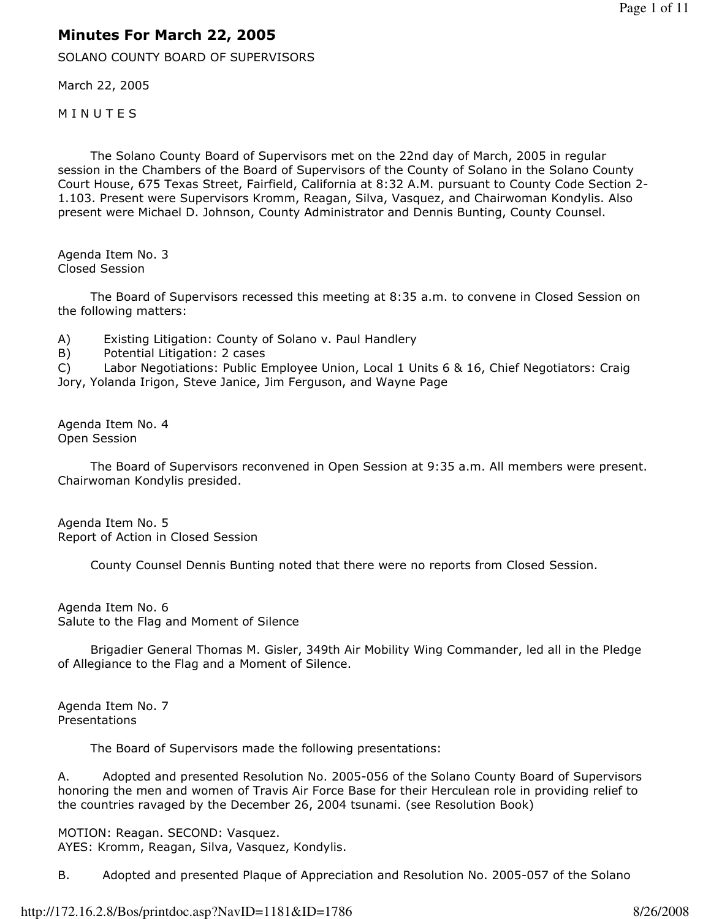## Minutes For March 22, 2005

SOLANO COUNTY BOARD OF SUPERVISORS

March 22, 2005

**MINUTES** 

 The Solano County Board of Supervisors met on the 22nd day of March, 2005 in regular session in the Chambers of the Board of Supervisors of the County of Solano in the Solano County Court House, 675 Texas Street, Fairfield, California at 8:32 A.M. pursuant to County Code Section 2- 1.103. Present were Supervisors Kromm, Reagan, Silva, Vasquez, and Chairwoman Kondylis. Also present were Michael D. Johnson, County Administrator and Dennis Bunting, County Counsel.

Agenda Item No. 3 Closed Session

 The Board of Supervisors recessed this meeting at 8:35 a.m. to convene in Closed Session on the following matters:

A) Existing Litigation: County of Solano v. Paul Handlery

B) Potential Litigation: 2 cases

C) Labor Negotiations: Public Employee Union, Local 1 Units 6 & 16, Chief Negotiators: Craig Jory, Yolanda Irigon, Steve Janice, Jim Ferguson, and Wayne Page

Agenda Item No. 4 Open Session

 The Board of Supervisors reconvened in Open Session at 9:35 a.m. All members were present. Chairwoman Kondylis presided.

Agenda Item No. 5 Report of Action in Closed Session

County Counsel Dennis Bunting noted that there were no reports from Closed Session.

Agenda Item No. 6 Salute to the Flag and Moment of Silence

 Brigadier General Thomas M. Gisler, 349th Air Mobility Wing Commander, led all in the Pledge of Allegiance to the Flag and a Moment of Silence.

Agenda Item No. 7 Presentations

The Board of Supervisors made the following presentations:

A. Adopted and presented Resolution No. 2005-056 of the Solano County Board of Supervisors honoring the men and women of Travis Air Force Base for their Herculean role in providing relief to the countries ravaged by the December 26, 2004 tsunami. (see Resolution Book)

MOTION: Reagan. SECOND: Vasquez. AYES: Kromm, Reagan, Silva, Vasquez, Kondylis.

B. Adopted and presented Plaque of Appreciation and Resolution No. 2005-057 of the Solano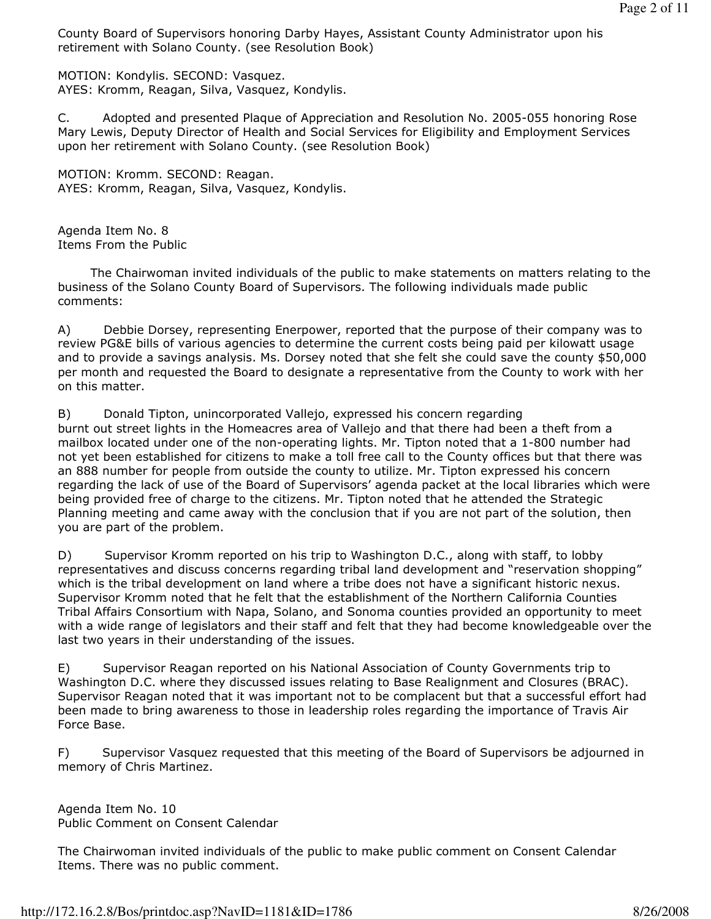County Board of Supervisors honoring Darby Hayes, Assistant County Administrator upon his retirement with Solano County. (see Resolution Book)

MOTION: Kondylis. SECOND: Vasquez. AYES: Kromm, Reagan, Silva, Vasquez, Kondylis.

C. Adopted and presented Plaque of Appreciation and Resolution No. 2005-055 honoring Rose Mary Lewis, Deputy Director of Health and Social Services for Eligibility and Employment Services upon her retirement with Solano County. (see Resolution Book)

MOTION: Kromm. SECOND: Reagan. AYES: Kromm, Reagan, Silva, Vasquez, Kondylis.

Agenda Item No. 8 Items From the Public

 The Chairwoman invited individuals of the public to make statements on matters relating to the business of the Solano County Board of Supervisors. The following individuals made public comments:

A) Debbie Dorsey, representing Enerpower, reported that the purpose of their company was to review PG&E bills of various agencies to determine the current costs being paid per kilowatt usage and to provide a savings analysis. Ms. Dorsey noted that she felt she could save the county \$50,000 per month and requested the Board to designate a representative from the County to work with her on this matter.

B) Donald Tipton, unincorporated Vallejo, expressed his concern regarding burnt out street lights in the Homeacres area of Vallejo and that there had been a theft from a mailbox located under one of the non-operating lights. Mr. Tipton noted that a 1-800 number had not yet been established for citizens to make a toll free call to the County offices but that there was an 888 number for people from outside the county to utilize. Mr. Tipton expressed his concern regarding the lack of use of the Board of Supervisors' agenda packet at the local libraries which were being provided free of charge to the citizens. Mr. Tipton noted that he attended the Strategic Planning meeting and came away with the conclusion that if you are not part of the solution, then you are part of the problem.

D) Supervisor Kromm reported on his trip to Washington D.C., along with staff, to lobby representatives and discuss concerns regarding tribal land development and "reservation shopping" which is the tribal development on land where a tribe does not have a significant historic nexus. Supervisor Kromm noted that he felt that the establishment of the Northern California Counties Tribal Affairs Consortium with Napa, Solano, and Sonoma counties provided an opportunity to meet with a wide range of legislators and their staff and felt that they had become knowledgeable over the last two years in their understanding of the issues.

E) Supervisor Reagan reported on his National Association of County Governments trip to Washington D.C. where they discussed issues relating to Base Realignment and Closures (BRAC). Supervisor Reagan noted that it was important not to be complacent but that a successful effort had been made to bring awareness to those in leadership roles regarding the importance of Travis Air Force Base.

F) Supervisor Vasquez requested that this meeting of the Board of Supervisors be adjourned in memory of Chris Martinez.

Agenda Item No. 10 Public Comment on Consent Calendar

The Chairwoman invited individuals of the public to make public comment on Consent Calendar Items. There was no public comment.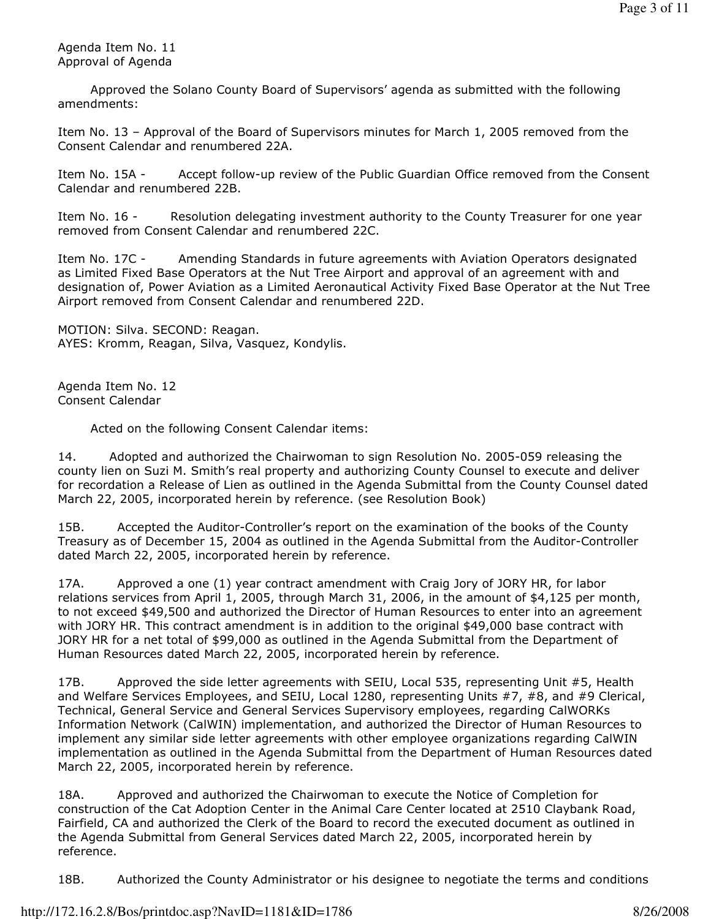Agenda Item No. 11 Approval of Agenda

 Approved the Solano County Board of Supervisors' agenda as submitted with the following amendments:

Item No. 13 – Approval of the Board of Supervisors minutes for March 1, 2005 removed from the Consent Calendar and renumbered 22A.

Item No. 15A - Accept follow-up review of the Public Guardian Office removed from the Consent Calendar and renumbered 22B.

Item No. 16 - Resolution delegating investment authority to the County Treasurer for one year removed from Consent Calendar and renumbered 22C.

Item No. 17C - Amending Standards in future agreements with Aviation Operators designated as Limited Fixed Base Operators at the Nut Tree Airport and approval of an agreement with and designation of, Power Aviation as a Limited Aeronautical Activity Fixed Base Operator at the Nut Tree Airport removed from Consent Calendar and renumbered 22D.

MOTION: Silva. SECOND: Reagan. AYES: Kromm, Reagan, Silva, Vasquez, Kondylis.

Agenda Item No. 12 Consent Calendar

Acted on the following Consent Calendar items:

14. Adopted and authorized the Chairwoman to sign Resolution No. 2005-059 releasing the county lien on Suzi M. Smith's real property and authorizing County Counsel to execute and deliver for recordation a Release of Lien as outlined in the Agenda Submittal from the County Counsel dated March 22, 2005, incorporated herein by reference. (see Resolution Book)

15B. Accepted the Auditor-Controller's report on the examination of the books of the County Treasury as of December 15, 2004 as outlined in the Agenda Submittal from the Auditor-Controller dated March 22, 2005, incorporated herein by reference.

17A. Approved a one (1) year contract amendment with Craig Jory of JORY HR, for labor relations services from April 1, 2005, through March 31, 2006, in the amount of \$4,125 per month, to not exceed \$49,500 and authorized the Director of Human Resources to enter into an agreement with JORY HR. This contract amendment is in addition to the original \$49,000 base contract with JORY HR for a net total of \$99,000 as outlined in the Agenda Submittal from the Department of Human Resources dated March 22, 2005, incorporated herein by reference.

17B. Approved the side letter agreements with SEIU, Local 535, representing Unit #5, Health and Welfare Services Employees, and SEIU, Local 1280, representing Units #7, #8, and #9 Clerical, Technical, General Service and General Services Supervisory employees, regarding CalWORKs Information Network (CalWIN) implementation, and authorized the Director of Human Resources to implement any similar side letter agreements with other employee organizations regarding CalWIN implementation as outlined in the Agenda Submittal from the Department of Human Resources dated March 22, 2005, incorporated herein by reference.

18A. Approved and authorized the Chairwoman to execute the Notice of Completion for construction of the Cat Adoption Center in the Animal Care Center located at 2510 Claybank Road, Fairfield, CA and authorized the Clerk of the Board to record the executed document as outlined in the Agenda Submittal from General Services dated March 22, 2005, incorporated herein by reference.

18B. Authorized the County Administrator or his designee to negotiate the terms and conditions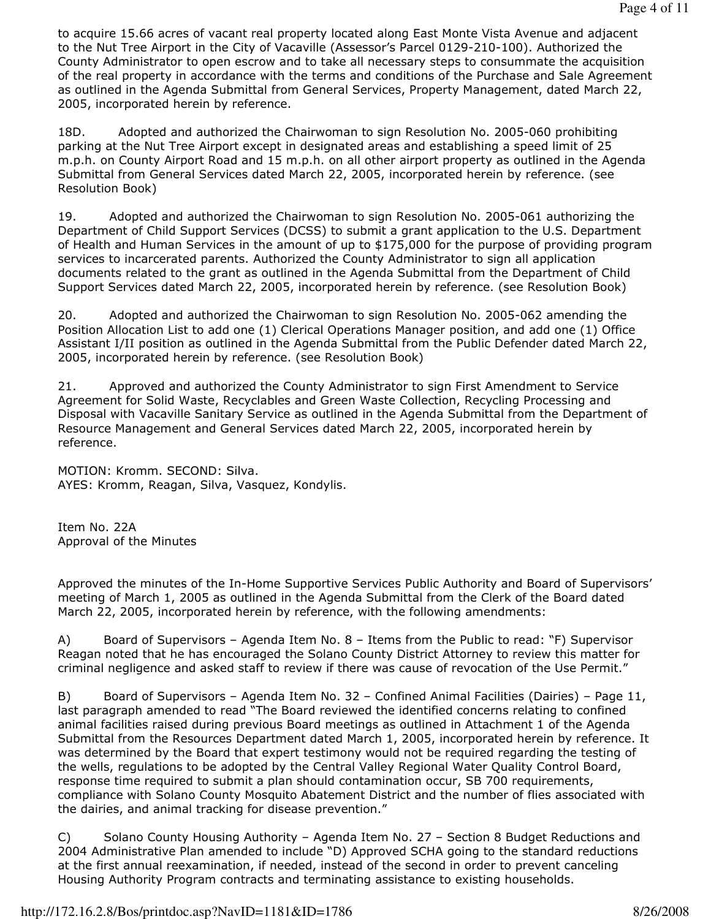to acquire 15.66 acres of vacant real property located along East Monte Vista Avenue and adjacent to the Nut Tree Airport in the City of Vacaville (Assessor's Parcel 0129-210-100). Authorized the County Administrator to open escrow and to take all necessary steps to consummate the acquisition of the real property in accordance with the terms and conditions of the Purchase and Sale Agreement as outlined in the Agenda Submittal from General Services, Property Management, dated March 22, 2005, incorporated herein by reference.

18D. Adopted and authorized the Chairwoman to sign Resolution No. 2005-060 prohibiting parking at the Nut Tree Airport except in designated areas and establishing a speed limit of 25 m.p.h. on County Airport Road and 15 m.p.h. on all other airport property as outlined in the Agenda Submittal from General Services dated March 22, 2005, incorporated herein by reference. (see Resolution Book)

19. Adopted and authorized the Chairwoman to sign Resolution No. 2005-061 authorizing the Department of Child Support Services (DCSS) to submit a grant application to the U.S. Department of Health and Human Services in the amount of up to \$175,000 for the purpose of providing program services to incarcerated parents. Authorized the County Administrator to sign all application documents related to the grant as outlined in the Agenda Submittal from the Department of Child Support Services dated March 22, 2005, incorporated herein by reference. (see Resolution Book)

20. Adopted and authorized the Chairwoman to sign Resolution No. 2005-062 amending the Position Allocation List to add one (1) Clerical Operations Manager position, and add one (1) Office Assistant I/II position as outlined in the Agenda Submittal from the Public Defender dated March 22, 2005, incorporated herein by reference. (see Resolution Book)

21. Approved and authorized the County Administrator to sign First Amendment to Service Agreement for Solid Waste, Recyclables and Green Waste Collection, Recycling Processing and Disposal with Vacaville Sanitary Service as outlined in the Agenda Submittal from the Department of Resource Management and General Services dated March 22, 2005, incorporated herein by reference.

MOTION: Kromm. SECOND: Silva. AYES: Kromm, Reagan, Silva, Vasquez, Kondylis.

Item No. 22A Approval of the Minutes

Approved the minutes of the In-Home Supportive Services Public Authority and Board of Supervisors' meeting of March 1, 2005 as outlined in the Agenda Submittal from the Clerk of the Board dated March 22, 2005, incorporated herein by reference, with the following amendments:

A) Board of Supervisors – Agenda Item No. 8 – Items from the Public to read: "F) Supervisor Reagan noted that he has encouraged the Solano County District Attorney to review this matter for criminal negligence and asked staff to review if there was cause of revocation of the Use Permit."

B) Board of Supervisors – Agenda Item No. 32 – Confined Animal Facilities (Dairies) – Page 11, last paragraph amended to read "The Board reviewed the identified concerns relating to confined animal facilities raised during previous Board meetings as outlined in Attachment 1 of the Agenda Submittal from the Resources Department dated March 1, 2005, incorporated herein by reference. It was determined by the Board that expert testimony would not be required regarding the testing of the wells, regulations to be adopted by the Central Valley Regional Water Quality Control Board, response time required to submit a plan should contamination occur, SB 700 requirements, compliance with Solano County Mosquito Abatement District and the number of flies associated with the dairies, and animal tracking for disease prevention."

C) Solano County Housing Authority – Agenda Item No. 27 – Section 8 Budget Reductions and 2004 Administrative Plan amended to include "D) Approved SCHA going to the standard reductions at the first annual reexamination, if needed, instead of the second in order to prevent canceling Housing Authority Program contracts and terminating assistance to existing households.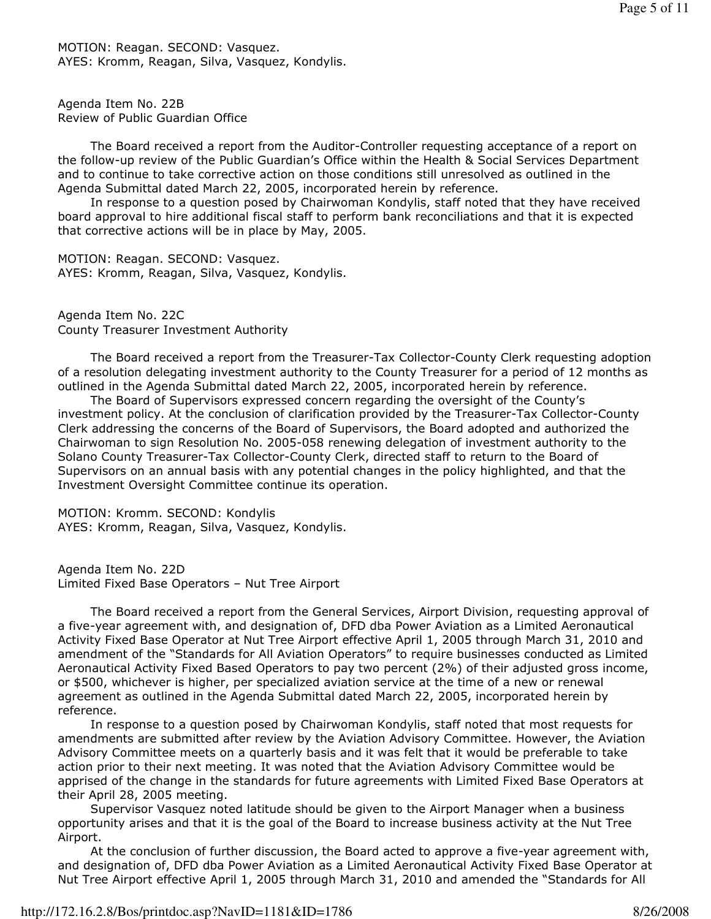MOTION: Reagan. SECOND: Vasquez. AYES: Kromm, Reagan, Silva, Vasquez, Kondylis.

Agenda Item No. 22B Review of Public Guardian Office

 The Board received a report from the Auditor-Controller requesting acceptance of a report on the follow-up review of the Public Guardian's Office within the Health & Social Services Department and to continue to take corrective action on those conditions still unresolved as outlined in the Agenda Submittal dated March 22, 2005, incorporated herein by reference.

 In response to a question posed by Chairwoman Kondylis, staff noted that they have received board approval to hire additional fiscal staff to perform bank reconciliations and that it is expected that corrective actions will be in place by May, 2005.

MOTION: Reagan. SECOND: Vasquez. AYES: Kromm, Reagan, Silva, Vasquez, Kondylis.

Agenda Item No. 22C County Treasurer Investment Authority

 The Board received a report from the Treasurer-Tax Collector-County Clerk requesting adoption of a resolution delegating investment authority to the County Treasurer for a period of 12 months as outlined in the Agenda Submittal dated March 22, 2005, incorporated herein by reference.

 The Board of Supervisors expressed concern regarding the oversight of the County's investment policy. At the conclusion of clarification provided by the Treasurer-Tax Collector-County Clerk addressing the concerns of the Board of Supervisors, the Board adopted and authorized the Chairwoman to sign Resolution No. 2005-058 renewing delegation of investment authority to the Solano County Treasurer-Tax Collector-County Clerk, directed staff to return to the Board of Supervisors on an annual basis with any potential changes in the policy highlighted, and that the Investment Oversight Committee continue its operation.

MOTION: Kromm. SECOND: Kondylis AYES: Kromm, Reagan, Silva, Vasquez, Kondylis.

Agenda Item No. 22D Limited Fixed Base Operators – Nut Tree Airport

 The Board received a report from the General Services, Airport Division, requesting approval of a five-year agreement with, and designation of, DFD dba Power Aviation as a Limited Aeronautical Activity Fixed Base Operator at Nut Tree Airport effective April 1, 2005 through March 31, 2010 and amendment of the "Standards for All Aviation Operators" to require businesses conducted as Limited Aeronautical Activity Fixed Based Operators to pay two percent (2%) of their adjusted gross income, or \$500, whichever is higher, per specialized aviation service at the time of a new or renewal agreement as outlined in the Agenda Submittal dated March 22, 2005, incorporated herein by reference.

 In response to a question posed by Chairwoman Kondylis, staff noted that most requests for amendments are submitted after review by the Aviation Advisory Committee. However, the Aviation Advisory Committee meets on a quarterly basis and it was felt that it would be preferable to take action prior to their next meeting. It was noted that the Aviation Advisory Committee would be apprised of the change in the standards for future agreements with Limited Fixed Base Operators at their April 28, 2005 meeting.

 Supervisor Vasquez noted latitude should be given to the Airport Manager when a business opportunity arises and that it is the goal of the Board to increase business activity at the Nut Tree Airport.

 At the conclusion of further discussion, the Board acted to approve a five-year agreement with, and designation of, DFD dba Power Aviation as a Limited Aeronautical Activity Fixed Base Operator at Nut Tree Airport effective April 1, 2005 through March 31, 2010 and amended the "Standards for All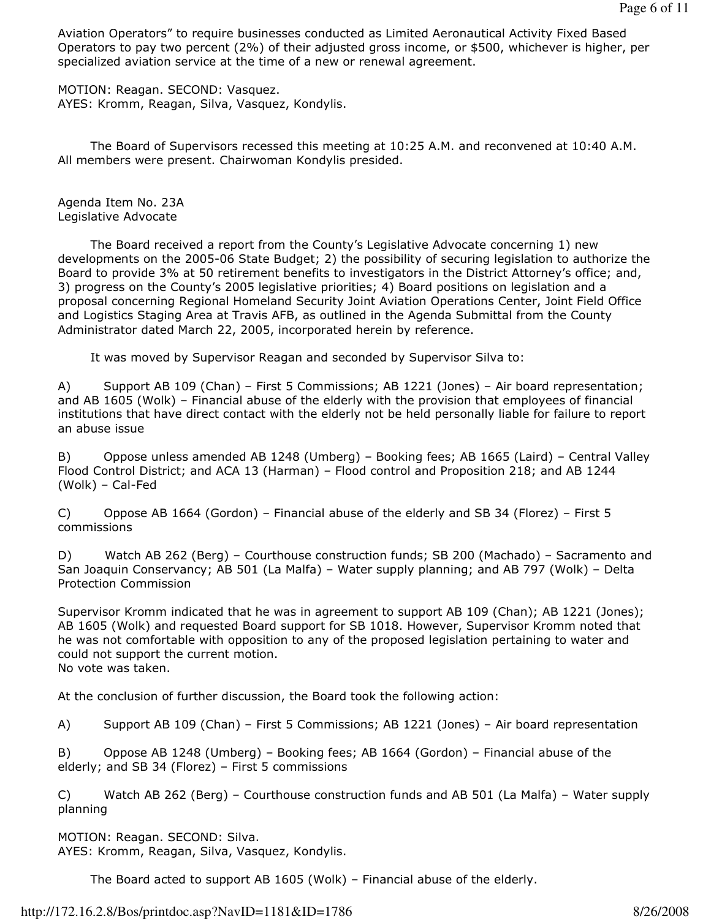Aviation Operators" to require businesses conducted as Limited Aeronautical Activity Fixed Based Operators to pay two percent (2%) of their adjusted gross income, or \$500, whichever is higher, per specialized aviation service at the time of a new or renewal agreement.

MOTION: Reagan. SECOND: Vasquez. AYES: Kromm, Reagan, Silva, Vasquez, Kondylis.

 The Board of Supervisors recessed this meeting at 10:25 A.M. and reconvened at 10:40 A.M. All members were present. Chairwoman Kondylis presided.

Agenda Item No. 23A Legislative Advocate

 The Board received a report from the County's Legislative Advocate concerning 1) new developments on the 2005-06 State Budget; 2) the possibility of securing legislation to authorize the Board to provide 3% at 50 retirement benefits to investigators in the District Attorney's office; and, 3) progress on the County's 2005 legislative priorities; 4) Board positions on legislation and a proposal concerning Regional Homeland Security Joint Aviation Operations Center, Joint Field Office and Logistics Staging Area at Travis AFB, as outlined in the Agenda Submittal from the County Administrator dated March 22, 2005, incorporated herein by reference.

It was moved by Supervisor Reagan and seconded by Supervisor Silva to:

A) Support AB 109 (Chan) – First 5 Commissions; AB 1221 (Jones) – Air board representation; and AB 1605 (Wolk) – Financial abuse of the elderly with the provision that employees of financial institutions that have direct contact with the elderly not be held personally liable for failure to report an abuse issue

B) Oppose unless amended AB 1248 (Umberg) – Booking fees; AB 1665 (Laird) – Central Valley Flood Control District; and ACA 13 (Harman) – Flood control and Proposition 218; and AB 1244 (Wolk) – Cal-Fed

C) Oppose AB 1664 (Gordon) – Financial abuse of the elderly and SB 34 (Florez) – First 5 commissions

D) Watch AB 262 (Berg) – Courthouse construction funds; SB 200 (Machado) – Sacramento and San Joaquin Conservancy; AB 501 (La Malfa) – Water supply planning; and AB 797 (Wolk) – Delta Protection Commission

Supervisor Kromm indicated that he was in agreement to support AB 109 (Chan); AB 1221 (Jones); AB 1605 (Wolk) and requested Board support for SB 1018. However, Supervisor Kromm noted that he was not comfortable with opposition to any of the proposed legislation pertaining to water and could not support the current motion. No vote was taken.

At the conclusion of further discussion, the Board took the following action:

A) Support AB 109 (Chan) – First 5 Commissions; AB 1221 (Jones) – Air board representation

B) Oppose AB 1248 (Umberg) – Booking fees; AB 1664 (Gordon) – Financial abuse of the elderly; and SB 34 (Florez) – First 5 commissions

C) Watch AB 262 (Berg) – Courthouse construction funds and AB 501 (La Malfa) – Water supply planning

MOTION: Reagan. SECOND: Silva. AYES: Kromm, Reagan, Silva, Vasquez, Kondylis.

The Board acted to support AB 1605 (Wolk) – Financial abuse of the elderly.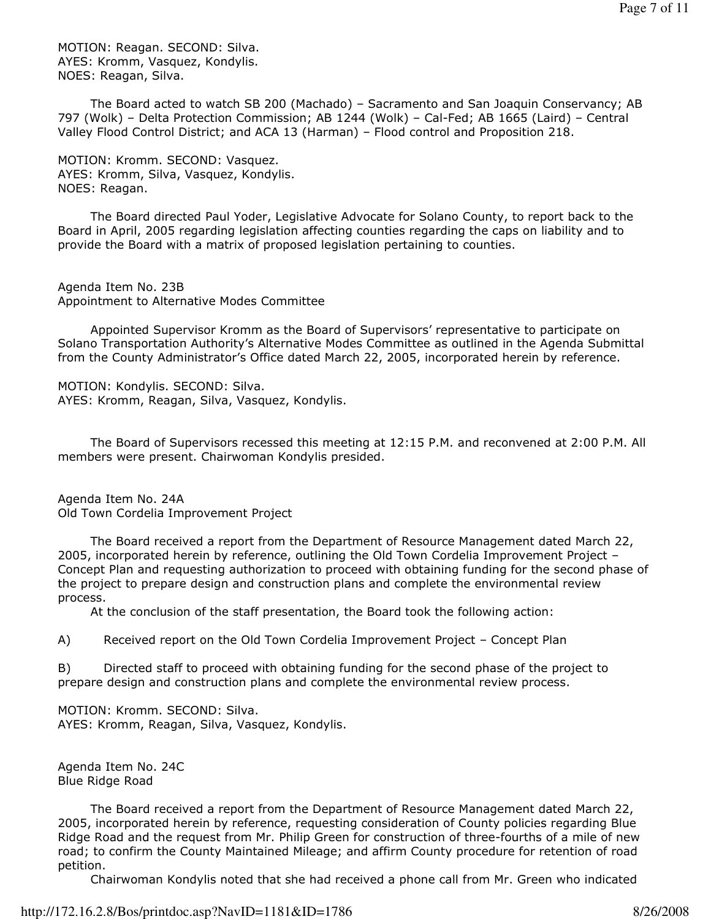MOTION: Reagan. SECOND: Silva. AYES: Kromm, Vasquez, Kondylis. NOES: Reagan, Silva.

 The Board acted to watch SB 200 (Machado) – Sacramento and San Joaquin Conservancy; AB 797 (Wolk) – Delta Protection Commission; AB 1244 (Wolk) – Cal-Fed; AB 1665 (Laird) – Central Valley Flood Control District; and ACA 13 (Harman) – Flood control and Proposition 218.

MOTION: Kromm. SECOND: Vasquez. AYES: Kromm, Silva, Vasquez, Kondylis. NOES: Reagan.

 The Board directed Paul Yoder, Legislative Advocate for Solano County, to report back to the Board in April, 2005 regarding legislation affecting counties regarding the caps on liability and to provide the Board with a matrix of proposed legislation pertaining to counties.

Agenda Item No. 23B Appointment to Alternative Modes Committee

 Appointed Supervisor Kromm as the Board of Supervisors' representative to participate on Solano Transportation Authority's Alternative Modes Committee as outlined in the Agenda Submittal from the County Administrator's Office dated March 22, 2005, incorporated herein by reference.

MOTION: Kondylis. SECOND: Silva. AYES: Kromm, Reagan, Silva, Vasquez, Kondylis.

 The Board of Supervisors recessed this meeting at 12:15 P.M. and reconvened at 2:00 P.M. All members were present. Chairwoman Kondylis presided.

Agenda Item No. 24A Old Town Cordelia Improvement Project

 The Board received a report from the Department of Resource Management dated March 22, 2005, incorporated herein by reference, outlining the Old Town Cordelia Improvement Project – Concept Plan and requesting authorization to proceed with obtaining funding for the second phase of the project to prepare design and construction plans and complete the environmental review process.

At the conclusion of the staff presentation, the Board took the following action:

A) Received report on the Old Town Cordelia Improvement Project – Concept Plan

B) Directed staff to proceed with obtaining funding for the second phase of the project to prepare design and construction plans and complete the environmental review process.

MOTION: Kromm. SECOND: Silva. AYES: Kromm, Reagan, Silva, Vasquez, Kondylis.

Agenda Item No. 24C Blue Ridge Road

 The Board received a report from the Department of Resource Management dated March 22, 2005, incorporated herein by reference, requesting consideration of County policies regarding Blue Ridge Road and the request from Mr. Philip Green for construction of three-fourths of a mile of new road; to confirm the County Maintained Mileage; and affirm County procedure for retention of road petition.

Chairwoman Kondylis noted that she had received a phone call from Mr. Green who indicated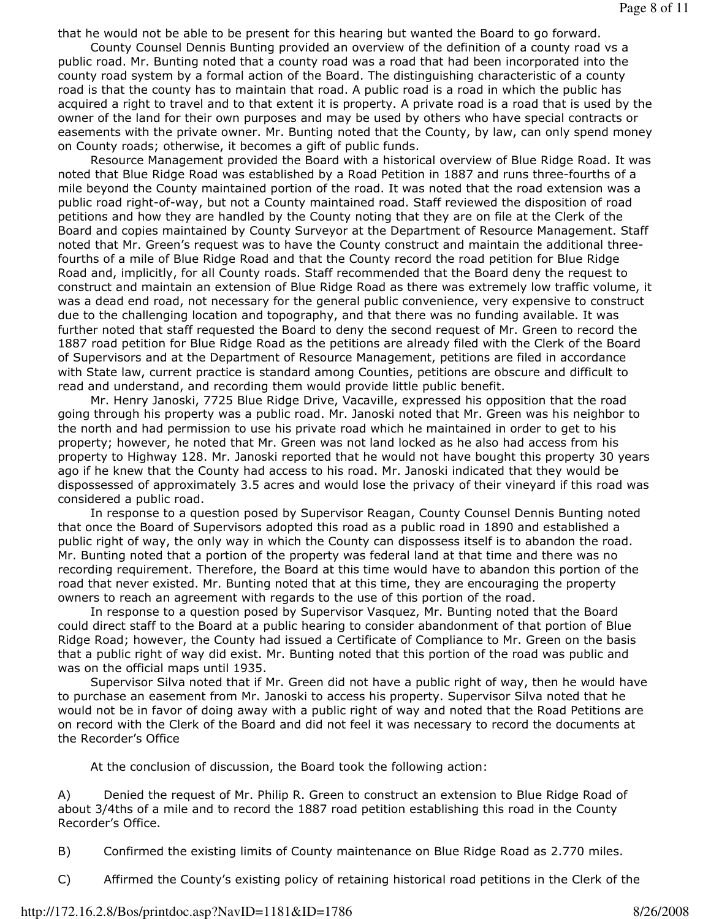that he would not be able to be present for this hearing but wanted the Board to go forward.

 County Counsel Dennis Bunting provided an overview of the definition of a county road vs a public road. Mr. Bunting noted that a county road was a road that had been incorporated into the county road system by a formal action of the Board. The distinguishing characteristic of a county road is that the county has to maintain that road. A public road is a road in which the public has acquired a right to travel and to that extent it is property. A private road is a road that is used by the owner of the land for their own purposes and may be used by others who have special contracts or easements with the private owner. Mr. Bunting noted that the County, by law, can only spend money on County roads; otherwise, it becomes a gift of public funds.

 Resource Management provided the Board with a historical overview of Blue Ridge Road. It was noted that Blue Ridge Road was established by a Road Petition in 1887 and runs three-fourths of a mile beyond the County maintained portion of the road. It was noted that the road extension was a public road right-of-way, but not a County maintained road. Staff reviewed the disposition of road petitions and how they are handled by the County noting that they are on file at the Clerk of the Board and copies maintained by County Surveyor at the Department of Resource Management. Staff noted that Mr. Green's request was to have the County construct and maintain the additional threefourths of a mile of Blue Ridge Road and that the County record the road petition for Blue Ridge Road and, implicitly, for all County roads. Staff recommended that the Board deny the request to construct and maintain an extension of Blue Ridge Road as there was extremely low traffic volume, it was a dead end road, not necessary for the general public convenience, very expensive to construct due to the challenging location and topography, and that there was no funding available. It was further noted that staff requested the Board to deny the second request of Mr. Green to record the 1887 road petition for Blue Ridge Road as the petitions are already filed with the Clerk of the Board of Supervisors and at the Department of Resource Management, petitions are filed in accordance with State law, current practice is standard among Counties, petitions are obscure and difficult to read and understand, and recording them would provide little public benefit.

 Mr. Henry Janoski, 7725 Blue Ridge Drive, Vacaville, expressed his opposition that the road going through his property was a public road. Mr. Janoski noted that Mr. Green was his neighbor to the north and had permission to use his private road which he maintained in order to get to his property; however, he noted that Mr. Green was not land locked as he also had access from his property to Highway 128. Mr. Janoski reported that he would not have bought this property 30 years ago if he knew that the County had access to his road. Mr. Janoski indicated that they would be dispossessed of approximately 3.5 acres and would lose the privacy of their vineyard if this road was considered a public road.

 In response to a question posed by Supervisor Reagan, County Counsel Dennis Bunting noted that once the Board of Supervisors adopted this road as a public road in 1890 and established a public right of way, the only way in which the County can dispossess itself is to abandon the road. Mr. Bunting noted that a portion of the property was federal land at that time and there was no recording requirement. Therefore, the Board at this time would have to abandon this portion of the road that never existed. Mr. Bunting noted that at this time, they are encouraging the property owners to reach an agreement with regards to the use of this portion of the road.

 In response to a question posed by Supervisor Vasquez, Mr. Bunting noted that the Board could direct staff to the Board at a public hearing to consider abandonment of that portion of Blue Ridge Road; however, the County had issued a Certificate of Compliance to Mr. Green on the basis that a public right of way did exist. Mr. Bunting noted that this portion of the road was public and was on the official maps until 1935.

 Supervisor Silva noted that if Mr. Green did not have a public right of way, then he would have to purchase an easement from Mr. Janoski to access his property. Supervisor Silva noted that he would not be in favor of doing away with a public right of way and noted that the Road Petitions are on record with the Clerk of the Board and did not feel it was necessary to record the documents at the Recorder's Office

At the conclusion of discussion, the Board took the following action:

A) Denied the request of Mr. Philip R. Green to construct an extension to Blue Ridge Road of about 3/4ths of a mile and to record the 1887 road petition establishing this road in the County Recorder's Office.

B) Confirmed the existing limits of County maintenance on Blue Ridge Road as 2.770 miles.

C) Affirmed the County's existing policy of retaining historical road petitions in the Clerk of the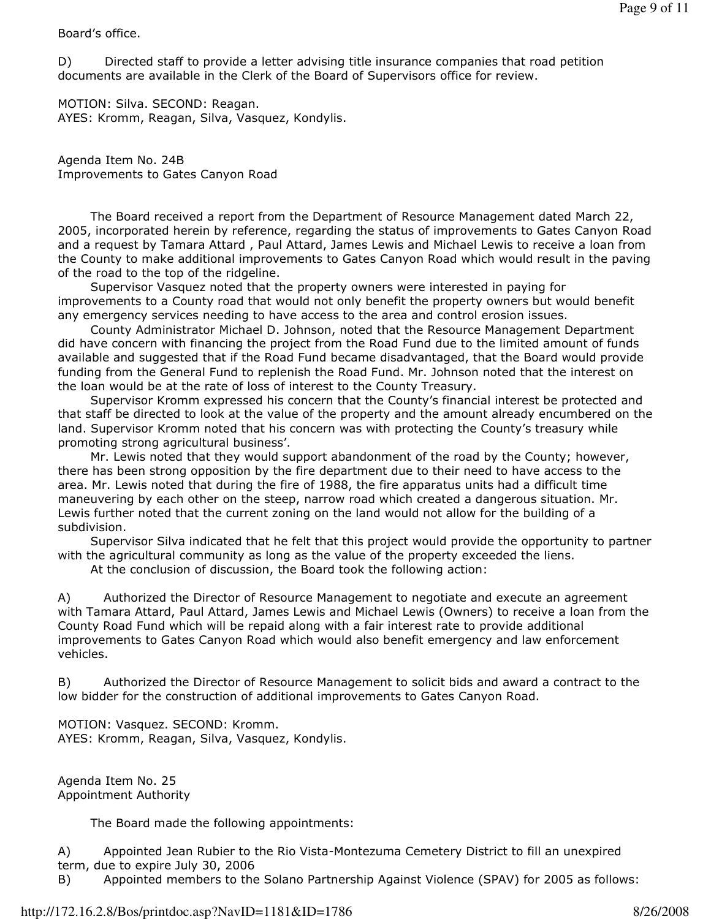## Board's office.

D) Directed staff to provide a letter advising title insurance companies that road petition documents are available in the Clerk of the Board of Supervisors office for review.

MOTION: Silva. SECOND: Reagan. AYES: Kromm, Reagan, Silva, Vasquez, Kondylis.

Agenda Item No. 24B Improvements to Gates Canyon Road

 The Board received a report from the Department of Resource Management dated March 22, 2005, incorporated herein by reference, regarding the status of improvements to Gates Canyon Road and a request by Tamara Attard , Paul Attard, James Lewis and Michael Lewis to receive a loan from the County to make additional improvements to Gates Canyon Road which would result in the paving of the road to the top of the ridgeline.

 Supervisor Vasquez noted that the property owners were interested in paying for improvements to a County road that would not only benefit the property owners but would benefit any emergency services needing to have access to the area and control erosion issues.

 County Administrator Michael D. Johnson, noted that the Resource Management Department did have concern with financing the project from the Road Fund due to the limited amount of funds available and suggested that if the Road Fund became disadvantaged, that the Board would provide funding from the General Fund to replenish the Road Fund. Mr. Johnson noted that the interest on the loan would be at the rate of loss of interest to the County Treasury.

 Supervisor Kromm expressed his concern that the County's financial interest be protected and that staff be directed to look at the value of the property and the amount already encumbered on the land. Supervisor Kromm noted that his concern was with protecting the County's treasury while promoting strong agricultural business'.

 Mr. Lewis noted that they would support abandonment of the road by the County; however, there has been strong opposition by the fire department due to their need to have access to the area. Mr. Lewis noted that during the fire of 1988, the fire apparatus units had a difficult time maneuvering by each other on the steep, narrow road which created a dangerous situation. Mr. Lewis further noted that the current zoning on the land would not allow for the building of a subdivision.

 Supervisor Silva indicated that he felt that this project would provide the opportunity to partner with the agricultural community as long as the value of the property exceeded the liens.

At the conclusion of discussion, the Board took the following action:

A) Authorized the Director of Resource Management to negotiate and execute an agreement with Tamara Attard, Paul Attard, James Lewis and Michael Lewis (Owners) to receive a loan from the County Road Fund which will be repaid along with a fair interest rate to provide additional improvements to Gates Canyon Road which would also benefit emergency and law enforcement vehicles.

B) Authorized the Director of Resource Management to solicit bids and award a contract to the low bidder for the construction of additional improvements to Gates Canyon Road.

MOTION: Vasquez. SECOND: Kromm. AYES: Kromm, Reagan, Silva, Vasquez, Kondylis.

Agenda Item No. 25 Appointment Authority

The Board made the following appointments:

A) Appointed Jean Rubier to the Rio Vista-Montezuma Cemetery District to fill an unexpired term, due to expire July 30, 2006

B) Appointed members to the Solano Partnership Against Violence (SPAV) for 2005 as follows: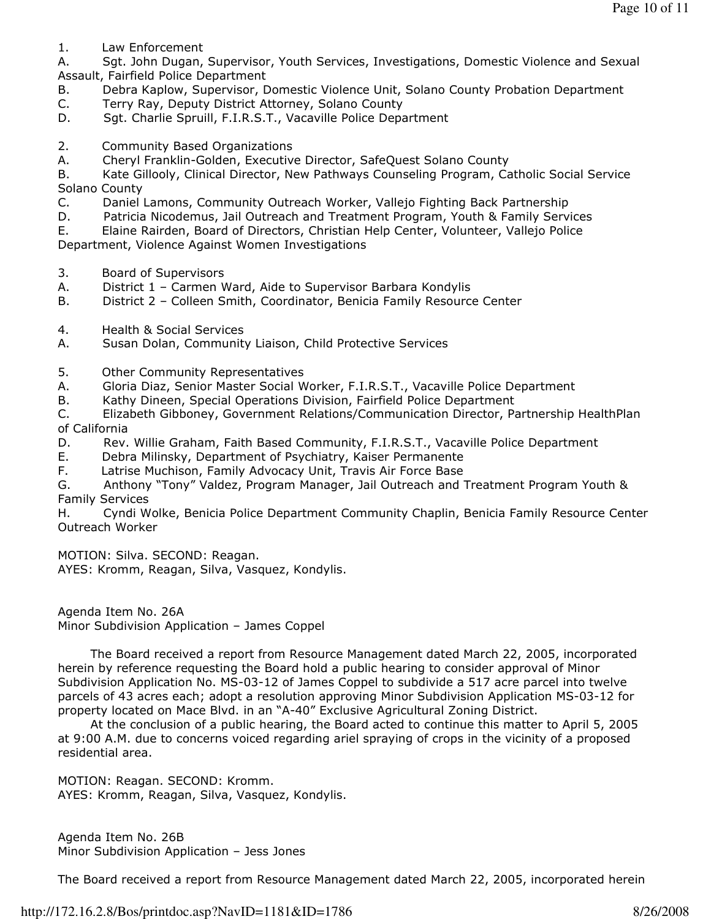1. Law Enforcement

A. Sgt. John Dugan, Supervisor, Youth Services, Investigations, Domestic Violence and Sexual Assault, Fairfield Police Department

- B. Debra Kaplow, Supervisor, Domestic Violence Unit, Solano County Probation Department
- C. Terry Ray, Deputy District Attorney, Solano County
- D. Sgt. Charlie Spruill, F.I.R.S.T., Vacaville Police Department
- 2. Community Based Organizations
- A. Cheryl Franklin-Golden, Executive Director, SafeQuest Solano County

B. Kate Gillooly, Clinical Director, New Pathways Counseling Program, Catholic Social Service Solano County

- C. Daniel Lamons, Community Outreach Worker, Vallejo Fighting Back Partnership
- D. Patricia Nicodemus, Jail Outreach and Treatment Program, Youth & Family Services
- E. Elaine Rairden, Board of Directors, Christian Help Center, Volunteer, Vallejo Police

Department, Violence Against Women Investigations

- 3. Board of Supervisors
- A. District 1 Carmen Ward, Aide to Supervisor Barbara Kondylis
- B. District 2 Colleen Smith, Coordinator, Benicia Family Resource Center
- 4. Health & Social Services
- A. Susan Dolan, Community Liaison, Child Protective Services
- 5. Other Community Representatives
- A. Gloria Diaz, Senior Master Social Worker, F.I.R.S.T., Vacaville Police Department
- B. Kathy Dineen, Special Operations Division, Fairfield Police Department

C. Elizabeth Gibboney, Government Relations/Communication Director, Partnership HealthPlan of California

- D. Rev. Willie Graham, Faith Based Community, F.I.R.S.T., Vacaville Police Department
- E. Debra Milinsky, Department of Psychiatry, Kaiser Permanente
- F. Latrise Muchison, Family Advocacy Unit, Travis Air Force Base

G. Anthony "Tony" Valdez, Program Manager, Jail Outreach and Treatment Program Youth & Family Services

H. Cyndi Wolke, Benicia Police Department Community Chaplin, Benicia Family Resource Center Outreach Worker

MOTION: Silva. SECOND: Reagan. AYES: Kromm, Reagan, Silva, Vasquez, Kondylis.

Agenda Item No. 26A Minor Subdivision Application – James Coppel

 The Board received a report from Resource Management dated March 22, 2005, incorporated herein by reference requesting the Board hold a public hearing to consider approval of Minor Subdivision Application No. MS-03-12 of James Coppel to subdivide a 517 acre parcel into twelve parcels of 43 acres each; adopt a resolution approving Minor Subdivision Application MS-03-12 for property located on Mace Blvd. in an "A-40" Exclusive Agricultural Zoning District.

 At the conclusion of a public hearing, the Board acted to continue this matter to April 5, 2005 at 9:00 A.M. due to concerns voiced regarding ariel spraying of crops in the vicinity of a proposed residential area.

MOTION: Reagan. SECOND: Kromm. AYES: Kromm, Reagan, Silva, Vasquez, Kondylis.

Agenda Item No. 26B Minor Subdivision Application – Jess Jones

The Board received a report from Resource Management dated March 22, 2005, incorporated herein